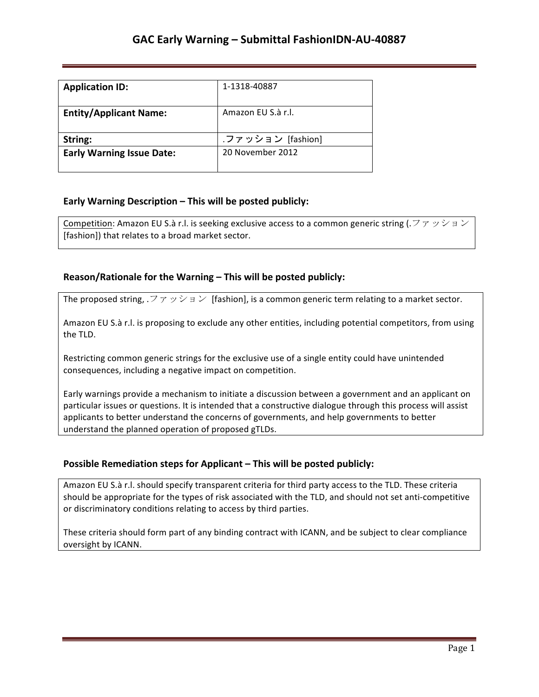| <b>Application ID:</b>           | 1-1318-40887       |
|----------------------------------|--------------------|
| <b>Entity/Applicant Name:</b>    | Amazon FU S.à r.l. |
| String:                          | .ファッション [fashion]  |
| <b>Early Warning Issue Date:</b> | 20 November 2012   |

## **Early Warning Description – This will be posted publicly:**

Competition: Amazon EU S.à r.l. is seeking exclusive access to a common generic string (.  $\forall \tau \vee \forall$  a  $\vee$ [fashion]) that relates to a broad market sector.

## **Reason/Rationale for the Warning – This will be posted publicly:**

The proposed string,  $\mathcal{F} \neq \mathcal{F} \neq \mathcal{F}$  [fashion], is a common generic term relating to a market sector.

Amazon EU S.à r.l. is proposing to exclude any other entities, including potential competitors, from using the TLD.

Restricting common generic strings for the exclusive use of a single entity could have unintended consequences, including a negative impact on competition.

Early warnings provide a mechanism to initiate a discussion between a government and an applicant on particular issues or questions. It is intended that a constructive dialogue through this process will assist applicants to better understand the concerns of governments, and help governments to better understand the planned operation of proposed gTLDs.

## **Possible Remediation steps for Applicant – This will be posted publicly:**

Amazon EU S.à r.l. should specify transparent criteria for third party access to the TLD. These criteria should be appropriate for the types of risk associated with the TLD, and should not set anti-competitive or discriminatory conditions relating to access by third parties.

These criteria should form part of any binding contract with ICANN, and be subject to clear compliance oversight by ICANN.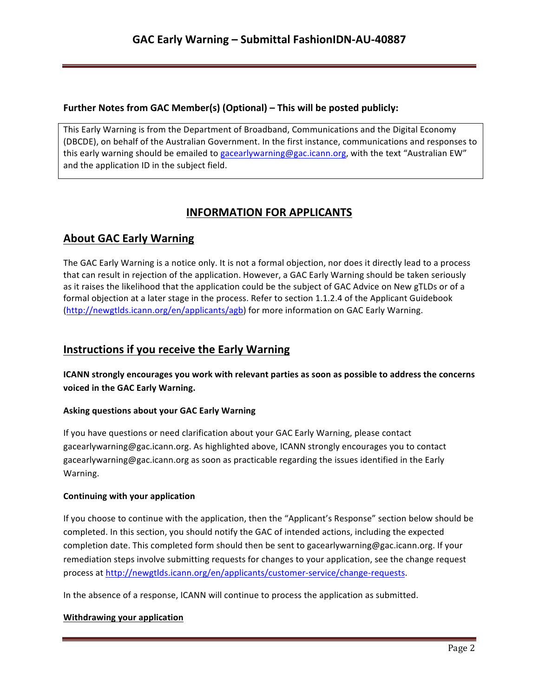## **Further Notes from GAC Member(s) (Optional) – This will be posted publicly:**

This Early Warning is from the Department of Broadband, Communications and the Digital Economy (DBCDE), on behalf of the Australian Government. In the first instance, communications and responses to this early warning should be emailed to gacearlywarning@gac.icann.org, with the text "Australian EW" and the application ID in the subject field.

# **INFORMATION FOR APPLICANTS**

# **About GAC Early Warning**

The GAC Early Warning is a notice only. It is not a formal objection, nor does it directly lead to a process that can result in rejection of the application. However, a GAC Early Warning should be taken seriously as it raises the likelihood that the application could be the subject of GAC Advice on New gTLDs or of a formal objection at a later stage in the process. Refer to section 1.1.2.4 of the Applicant Guidebook (http://newgtlds.icann.org/en/applicants/agb) for more information on GAC Early Warning.

## **Instructions if you receive the Early Warning**

**ICANN** strongly encourages you work with relevant parties as soon as possible to address the concerns voiced in the GAC Early Warning.

## **Asking questions about your GAC Early Warning**

If you have questions or need clarification about your GAC Early Warning, please contact gacearlywarning@gac.icann.org. As highlighted above, ICANN strongly encourages you to contact gacearlywarning@gac.icann.org as soon as practicable regarding the issues identified in the Early Warning. 

#### **Continuing with your application**

If you choose to continue with the application, then the "Applicant's Response" section below should be completed. In this section, you should notify the GAC of intended actions, including the expected completion date. This completed form should then be sent to gacearlywarning@gac.icann.org. If your remediation steps involve submitting requests for changes to your application, see the change request process at http://newgtlds.icann.org/en/applicants/customer-service/change-requests.

In the absence of a response, ICANN will continue to process the application as submitted.

#### **Withdrawing your application**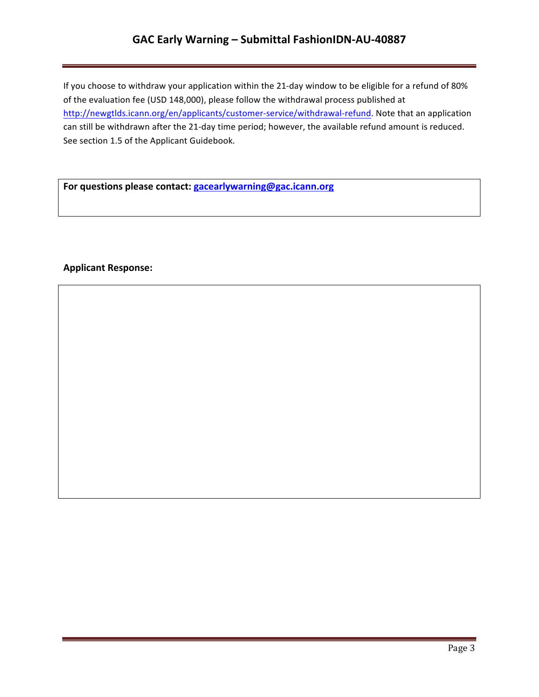## **GAC Early Warning – Submittal FashionIDN-AU-40887**

If you choose to withdraw your application within the 21-day window to be eligible for a refund of 80% of the evaluation fee (USD 148,000), please follow the withdrawal process published at http://newgtlds.icann.org/en/applicants/customer-service/withdrawal-refund. Note that an application can still be withdrawn after the 21-day time period; however, the available refund amount is reduced. See section 1.5 of the Applicant Guidebook.

For questions please contact: **gacearlywarning@gac.icann.org** 

### **Applicant Response:**